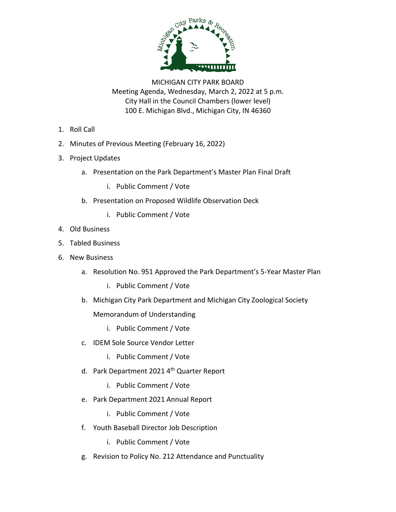

MICHIGAN CITY PARK BOARD Meeting Agenda, Wednesday, March 2, 2022 at 5 p.m. City Hall in the Council Chambers (lower level) 100 E. Michigan Blvd., Michigan City, IN 46360

- 1. Roll Call
- 2. Minutes of Previous Meeting (February 16, 2022)
- 3. Project Updates
	- a. Presentation on the Park Department's Master Plan Final Draft
		- i. Public Comment / Vote
	- b. Presentation on Proposed Wildlife Observation Deck
		- i. Public Comment / Vote
- 4. Old Business
- 5. Tabled Business
- 6. New Business
	- a. Resolution No. 951 Approved the Park Department's 5-Year Master Plan
		- i. Public Comment / Vote
	- b. Michigan City Park Department and Michigan City Zoological Society Memorandum of Understanding
		- i. Public Comment / Vote
	- c. IDEM Sole Source Vendor Letter
		- i. Public Comment / Vote
	- d. Park Department 2021 4<sup>th</sup> Quarter Report
		- i. Public Comment / Vote
	- e. Park Department 2021 Annual Report
		- i. Public Comment / Vote
	- f. Youth Baseball Director Job Description
		- i. Public Comment / Vote
	- g. Revision to Policy No. 212 Attendance and Punctuality